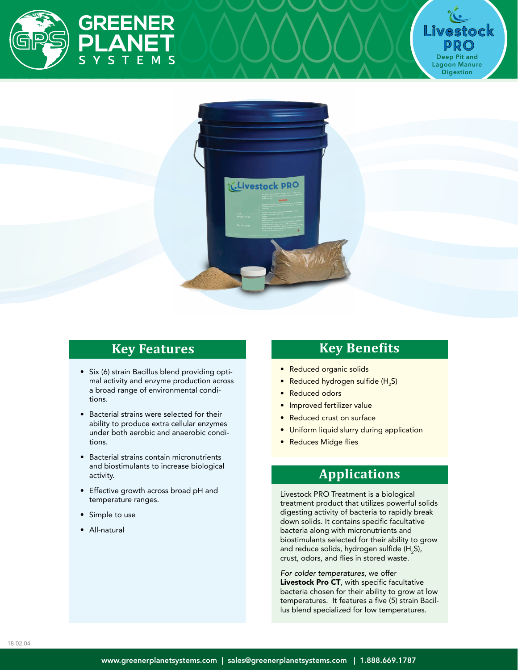





### **Key Features**

- Six (6) strain Bacillus blend providing optimal activity and enzyme production across a broad range of environmental conditions.
- Bacterial strains were selected for their ability to produce extra cellular enzymes under both aerobic and anaerobic conditions.
- Bacterial strains contain micronutrients and biostimulants to increase biological activity.
- Effective growth across broad pH and temperature ranges.
- Simple to use
- All-natural

# **Key Benefits**

- Reduced organic solids
- Reduced hydrogen sulfide (H<sub>2</sub>S)
- Reduced odors
- Improved fertilizer value
- Reduced crust on surface
- Uniform liquid slurry during application
- Reduces Midge flies

### **Applications**

Livestock PRO Treatment is a biological treatment product that utilizes powerful solids digesting activity of bacteria to rapidly break down solids. It contains specific facultative bacteria along with micronutrients and biostimulants selected for their ability to grow and reduce solids, hydrogen sulfide (H<sub>2</sub>S), crust, odors, and flies in stored waste.

*For colder temperatures*, we offer Livestock Pro CT, with specific facultative bacteria chosen for their ability to grow at low temperatures. It features a five (5) strain Bacillus blend specialized for low temperatures.